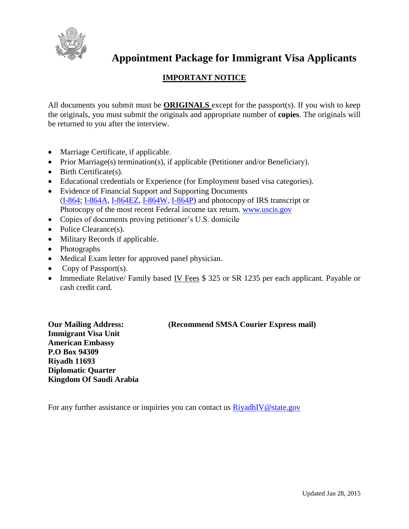

# **Appointment Package for Immigrant Visa Applicants**

### **IMPORTANT NOTICE**

All documents you submit must be **ORIGINALS** except for the passport(s). If you wish to keep the originals, you must submit the originals and appropriate number of **copies**. The originals will be returned to you after the interview.

- Marriage Certificate, if applicable.
- Prior Marriage(s) termination(s), if applicable (Petitioner and/or Beneficiary).
- Birth Certificate(s).
- Educational credentials or Experience (for Employment based visa categories).
- Evidence of Financial Support and Supporting Documents [\(I-864;](http://www.uscis.gov/i-864) [I-864A,](http://www.uscis.gov/i-864a) [I-864EZ,](http://www.uscis.gov/i-864ez) [I-864W,](http://www.uscis.gov/i-864w) [I-864P\)](http://www.uscis.gov/i-864p) and photocopy of IRS transcript or Photocopy of the most recent Federal income tax return. [www.uscis.gov](http://www.uscis.gov/)
- Copies of documents proving petitioner's U.S. domicile
- Police Clearance(s).
- Military Records if applicable.
- Photographs
- Medical Exam letter for approved panel physician.
- Copy of Passport(s).
- Immediate Relative/ Family based IV Fees \$ 325 or SR 1235 per each applicant. Payable or cash credit card.

**Immigrant Visa Unit American Embassy P.O Box 94309 Riyadh 11693 Diplomatic Quarter Kingdom Of Saudi Arabia**

#### **Our Mailing Address: (Recommend SMSA Courier Express mail)**

For any further assistance or inquiries you can contact us  $\frac{RiyadhIV@state.gov}{}$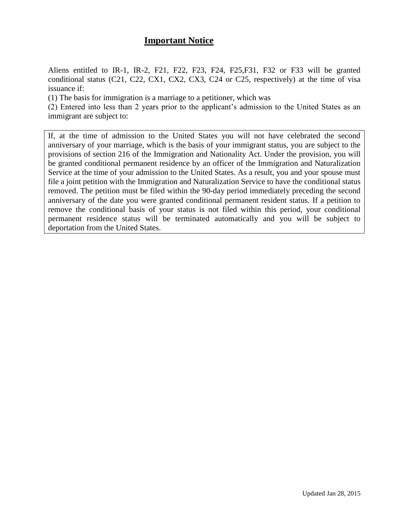### **Important Notice**

Aliens entitled to IR-1, IR-2, F21, F22, F23, F24, F25,F31, F32 or F33 will be granted conditional status (C21, C22, CX1, CX2, CX3, C24 or C25, respectively) at the time of visa issuance if:

(1) The basis for immigration is a marriage to a petitioner, which was

(2) Entered into less than 2 years prior to the applicant's admission to the United States as an immigrant are subject to:

If, at the time of admission to the United States you will not have celebrated the second anniversary of your marriage, which is the basis of your immigrant status, you are subject to the provisions of section 216 of the Immigration and Nationality Act. Under the provision, you will be granted conditional permanent residence by an officer of the Immigration and Naturalization Service at the time of your admission to the United States. As a result, you and your spouse must file a joint petition with the Immigration and Naturalization Service to have the conditional status removed. The petition must be filed within the 90-day period immediately preceding the second anniversary of the date you were granted conditional permanent resident status. If a petition to remove the conditional basis of your status is not filed within this period, your conditional permanent residence status will be terminated automatically and you will be subject to deportation from the United States.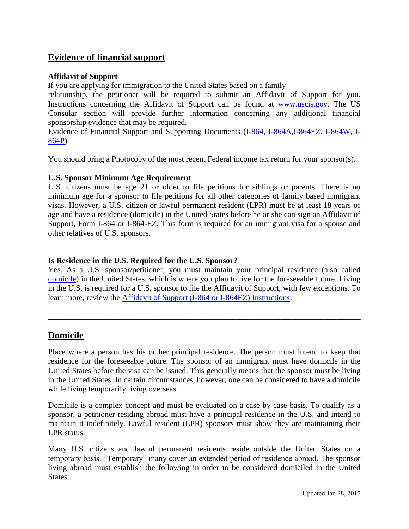### **Evidence of financial support**

#### **Affidavit of Support**

If you are applying for immigration to the United States based on a family

relationship, the petitioner will be required to submit an Affidavit of Support for you. Instructions concerning the Affidavit of Support can be found at [www.uscis.gov.](http://www.uscis.gov/) The US Consular section will provide further information concerning any additional financial sponsorship evidence that may be required.

Evidence of Financial Support and Supporting Documents [\(I-864,](http://www.uscis.gov/portal/site/uscis/menuitem.5af9bb95919f35e66f614176543f6d1a/?vgnextoid=b70f8875d714d010VgnVCM10000048f3d6a1RCRD&vgnextchannel=db029c7755cb9010VgnVCM10000045f3d6a1RCRD) [I-864A](http://www.uscis.gov/portal/site/uscis/menuitem.5af9bb95919f35e66f614176543f6d1a/?vgnextoid=0c7e8875d714d010VgnVCM10000048f3d6a1RCRD&vgnextchannel=db029c7755cb9010VgnVCM10000045f3d6a1RCRD)[,I-864EZ,](http://www.uscis.gov/portal/site/uscis/menuitem.5af9bb95919f35e66f614176543f6d1a/?vgnextoid=15d05d4c6608e010VgnVCM1000000ecd190aRCRD&vgnextchannel=db029c7755cb9010VgnVCM10000045f3d6a1RCRD) [I-864W,](http://www.uscis.gov/portal/site/uscis/menuitem.5af9bb95919f35e66f614176543f6d1a/?vgnextoid=02055d4c6608e010VgnVCM1000000ecd190aRCRD&vgnextchannel=db029c7755cb9010VgnVCM10000045f3d6a1RCRD) [I-](http://www.uscis.gov/sites/default/files/files/form/i-864p.pdf)[864P\)](http://www.uscis.gov/sites/default/files/files/form/i-864p.pdf)

You should bring a Photocopy of the most recent Federal income tax return for your sponsor(s).

#### **U.S. Sponsor Minimum Age Requirement**

U.S. citizens must be age 21 or older to file petitions for siblings or parents. There is no minimum age for a sponsor to file petitions for all other categories of family based immigrant visas. However, a U.S. citizen or lawful permanent resident (LPR) must be at least 18 years of age and have a residence (domicile) in the United States before he or she can sign an Affidavit of Support, Form I-864 or I-864-EZ. This form is required for an immigrant visa for a spouse and other relatives of U.S. sponsors.

#### **Is Residence in the U.S. Required for the U.S. Sponsor?**

Yes. As a U.S. sponsor/petitioner, you must maintain your principal residence (also called [domicile\)](http://travel.state.gov/content/visas/english/general/glossary.html#domicile) in the United States, which is where you plan to live for the foreseeable future. Living in the U.S. is required for a U.S. sponsor to file the Affidavit of Support, with few exceptions. To learn more, review the [Affidavit of Support \(I-864 or I-864EZ\) Instructions.](http://www.uscis.gov/forms)

\_\_\_\_\_\_\_\_\_\_\_\_\_\_\_\_\_\_\_\_\_\_\_\_\_\_\_\_\_\_\_\_\_\_\_\_\_\_\_\_\_\_\_\_\_\_\_\_\_\_\_\_\_\_\_\_\_\_\_\_\_\_\_\_\_\_\_\_\_\_\_\_\_\_\_\_\_\_

### **Domicile**

Place where a person has his or her principal residence. The person must intend to keep that residence for the foreseeable future. The sponsor of an immigrant must have domicile in the United States before the visa can be issued. This generally means that the sponsor must be living in the United States. In certain circumstances, however, one can be considered to have a domicile while living temporarily living overseas.

Domicile is a complex concept and must be evaluated on a case by case basis. To qualify as a sponsor, a petitioner residing abroad must have a principal residence in the U.S. and intend to maintain it indefinitely. Lawful resident (LPR) sponsors must show they are maintaining their LPR status.

Many U.S. citizens and lawful permanent residents reside outside the United States on a temporary basis. "Temporary" many cover an extended period of residence abroad. The sponsor living abroad must establish the following in order to be considered domiciled in the United States: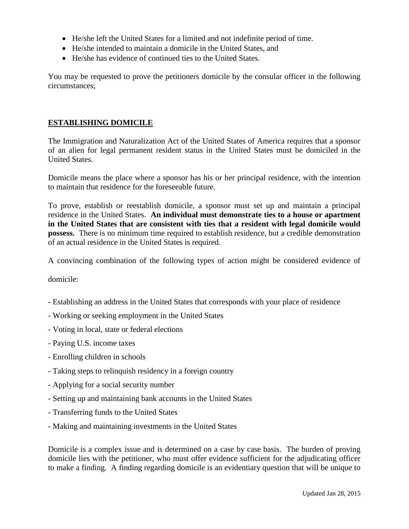- He/she left the United States for a limited and not indefinite period of time.
- He/she intended to maintain a domicile in the United States, and
- He/she has evidence of continued ties to the United States.

You may be requested to prove the petitioners domicile by the consular officer in the following circumstances;

#### **ESTABLISHING DOMICILE**

The Immigration and Naturalization Act of the United States of America requires that a sponsor of an alien for legal permanent resident status in the United States must be domiciled in the United States.

Domicile means the place where a sponsor has his or her principal residence, with the intention to maintain that residence for the foreseeable future.

To prove, establish or reestablish domicile, a sponsor must set up and maintain a principal residence in the United States. **An individual must demonstrate ties to a house or apartment in the United States that are consistent with ties that a resident with legal domicile would possess.** There is no minimum time required to establish residence, but a credible demonstration of an actual residence in the United States is required.

A convincing combination of the following types of action might be considered evidence of

domicile:

- Establishing an address in the United States that corresponds with your place of residence
- Working or seeking employment in the United States
- Voting in local, state or federal elections
- Paying U.S. income taxes
- Enrolling children in schools
- Taking steps to relinquish residency in a foreign country
- Applying for a social security number
- Setting up and maintaining bank accounts in the United States
- Transferring funds to the United States
- Making and maintaining investments in the United States

Domicile is a complex issue and is determined on a case by case basis. The burden of proving domicile lies with the petitioner, who must offer evidence sufficient for the adjudicating officer to make a finding. A finding regarding domicile is an evidentiary question that will be unique to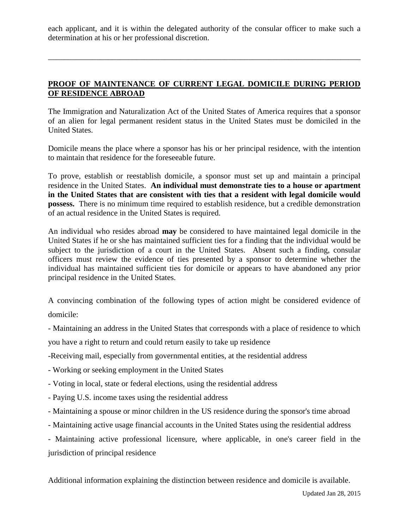each applicant, and it is within the delegated authority of the consular officer to make such a determination at his or her professional discretion.

\_\_\_\_\_\_\_\_\_\_\_\_\_\_\_\_\_\_\_\_\_\_\_\_\_\_\_\_\_\_\_\_\_\_\_\_\_\_\_\_\_\_\_\_\_\_\_\_\_\_\_\_\_\_\_\_\_\_\_\_\_\_\_\_\_\_\_\_\_\_\_\_\_\_\_\_\_\_

#### **PROOF OF MAINTENANCE OF CURRENT LEGAL DOMICILE DURING PERIOD OF RESIDENCE ABROAD**

The Immigration and Naturalization Act of the United States of America requires that a sponsor of an alien for legal permanent resident status in the United States must be domiciled in the United States.

Domicile means the place where a sponsor has his or her principal residence, with the intention to maintain that residence for the foreseeable future.

To prove, establish or reestablish domicile, a sponsor must set up and maintain a principal residence in the United States. **An individual must demonstrate ties to a house or apartment in the United States that are consistent with ties that a resident with legal domicile would possess.** There is no minimum time required to establish residence, but a credible demonstration of an actual residence in the United States is required.

An individual who resides abroad **may** be considered to have maintained legal domicile in the United States if he or she has maintained sufficient ties for a finding that the individual would be subject to the jurisdiction of a court in the United States. Absent such a finding, consular officers must review the evidence of ties presented by a sponsor to determine whether the individual has maintained sufficient ties for domicile or appears to have abandoned any prior principal residence in the United States.

A convincing combination of the following types of action might be considered evidence of domicile:

- Maintaining an address in the United States that corresponds with a place of residence to which

you have a right to return and could return easily to take up residence

-Receiving mail, especially from governmental entities, at the residential address

- Working or seeking employment in the United States
- Voting in local, state or federal elections, using the residential address
- Paying U.S. income taxes using the residential address
- Maintaining a spouse or minor children in the US residence during the sponsor's time abroad
- Maintaining active usage financial accounts in the United States using the residential address

- Maintaining active professional licensure, where applicable, in one's career field in the jurisdiction of principal residence

Additional information explaining the distinction between residence and domicile is available.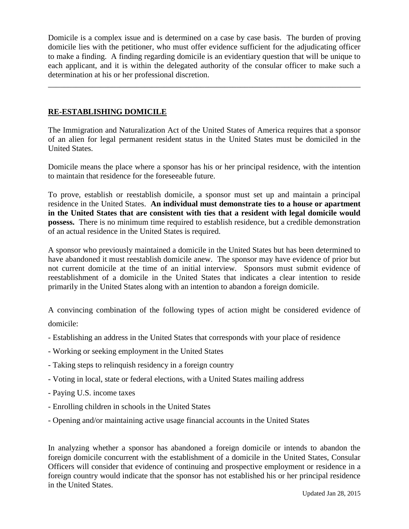Domicile is a complex issue and is determined on a case by case basis. The burden of proving domicile lies with the petitioner, who must offer evidence sufficient for the adjudicating officer to make a finding. A finding regarding domicile is an evidentiary question that will be unique to each applicant, and it is within the delegated authority of the consular officer to make such a determination at his or her professional discretion.

\_\_\_\_\_\_\_\_\_\_\_\_\_\_\_\_\_\_\_\_\_\_\_\_\_\_\_\_\_\_\_\_\_\_\_\_\_\_\_\_\_\_\_\_\_\_\_\_\_\_\_\_\_\_\_\_\_\_\_\_\_\_\_\_\_\_\_\_\_\_\_\_\_\_\_\_\_\_

#### **RE-ESTABLISHING DOMICILE**

The Immigration and Naturalization Act of the United States of America requires that a sponsor of an alien for legal permanent resident status in the United States must be domiciled in the United States.

Domicile means the place where a sponsor has his or her principal residence, with the intention to maintain that residence for the foreseeable future.

To prove, establish or reestablish domicile, a sponsor must set up and maintain a principal residence in the United States. **An individual must demonstrate ties to a house or apartment in the United States that are consistent with ties that a resident with legal domicile would possess.** There is no minimum time required to establish residence, but a credible demonstration of an actual residence in the United States is required.

A sponsor who previously maintained a domicile in the United States but has been determined to have abandoned it must reestablish domicile anew. The sponsor may have evidence of prior but not current domicile at the time of an initial interview. Sponsors must submit evidence of reestablishment of a domicile in the United States that indicates a clear intention to reside primarily in the United States along with an intention to abandon a foreign domicile.

A convincing combination of the following types of action might be considered evidence of domicile:

- Establishing an address in the United States that corresponds with your place of residence
- Working or seeking employment in the United States
- Taking steps to relinquish residency in a foreign country
- Voting in local, state or federal elections, with a United States mailing address
- Paying U.S. income taxes
- Enrolling children in schools in the United States
- Opening and/or maintaining active usage financial accounts in the United States

In analyzing whether a sponsor has abandoned a foreign domicile or intends to abandon the foreign domicile concurrent with the establishment of a domicile in the United States, Consular Officers will consider that evidence of continuing and prospective employment or residence in a foreign country would indicate that the sponsor has not established his or her principal residence in the United States.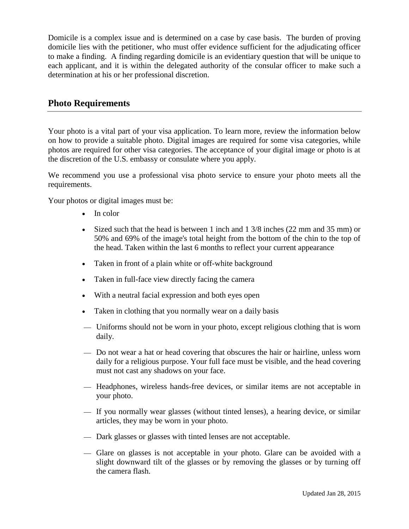Domicile is a complex issue and is determined on a case by case basis. The burden of proving domicile lies with the petitioner, who must offer evidence sufficient for the adjudicating officer to make a finding. A finding regarding domicile is an evidentiary question that will be unique to each applicant, and it is within the delegated authority of the consular officer to make such a determination at his or her professional discretion.

#### **Photo Requirements**

Your photo is a vital part of your visa application. To learn more, review the information below on how to provide a suitable photo. Digital images are required for some visa categories, while photos are required for other visa categories. The acceptance of your digital image or photo is at the discretion of the U.S. embassy or consulate where you apply.

We recommend you use a professional visa photo service to ensure your photo meets all the requirements.

Your photos or digital images must be:

- In color
- Sized such that the head is between 1 inch and  $1\frac{3}{8}$  inches (22 mm and 35 mm) or 50% and 69% of the image's total height from the bottom of the chin to the top of the head. Taken within the last 6 months to reflect your current appearance
- Taken in front of a plain white or off-white background
- Taken in full-face view directly facing the camera
- With a neutral facial expression and both eyes open
- Taken in clothing that you normally wear on a daily basis
- Uniforms should not be worn in your photo, except religious clothing that is worn daily.
- Do not wear a hat or head covering that obscures the hair or hairline, unless worn daily for a religious purpose. Your full face must be visible, and the head covering must not cast any shadows on your face.
- $-$  Headphones, wireless hands-free devices, or similar items are not acceptable in your photo.
- If you normally wear glasses (without tinted lenses), a hearing device, or similar articles, they may be worn in your photo.
- Dark glasses or glasses with tinted lenses are not acceptable.
- Glare on glasses is not acceptable in your photo. Glare can be avoided with a slight downward tilt of the glasses or by removing the glasses or by turning off the camera flash.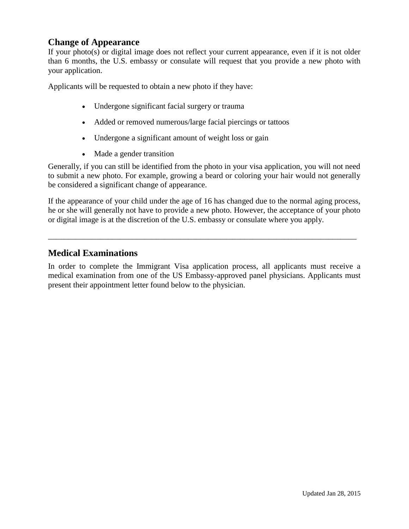### **Change of Appearance**

If your photo(s) or digital image does not reflect your current appearance, even if it is not older than 6 months, the U.S. embassy or consulate will request that you provide a new photo with your application.

Applicants will be requested to obtain a new photo if they have:

- Undergone significant facial surgery or trauma
- Added or removed numerous/large facial piercings or tattoos
- Undergone a significant amount of weight loss or gain
- Made a gender transition

Generally, if you can still be identified from the photo in your visa application, you will not need to submit a new photo. For example, growing a beard or coloring your hair would not generally be considered a significant change of appearance.

If the appearance of your child under the age of 16 has changed due to the normal aging process, he or she will generally not have to provide a new photo. However, the acceptance of your photo or digital image is at the discretion of the U.S. embassy or consulate where you apply.

\_\_\_\_\_\_\_\_\_\_\_\_\_\_\_\_\_\_\_\_\_\_\_\_\_\_\_\_\_\_\_\_\_\_\_\_\_\_\_\_\_\_\_\_\_\_\_\_\_\_\_\_\_\_\_\_\_\_\_\_\_\_\_\_\_\_\_\_\_\_\_\_\_\_\_\_\_

## **Medical Examinations**

In order to complete the Immigrant Visa application process, all applicants must receive a medical examination from one of the US Embassy-approved panel physicians. Applicants must present their appointment letter found below to the physician.